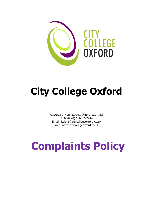

## **City College Oxford**

Address: 3 Hurst Street, Oxford, OX4 1EZ T: 0044 (0) 1865 792444 E: admissions@citycollegeoxford.co.uk Web: www.citycollegeoxford.co.uk

# **Complaints Policy**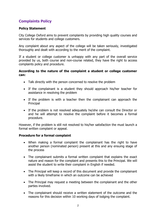### **Complaints Policy**

#### **Policy Statement**

City College Oxford aims to prevent complaints by providing high quality courses and services for students and college customers.

Any complaint about any aspect of the college will be taken seriously, investigated thoroughly and dealt with according to the merit of the complaint.

If a student or college customer is unhappy with any part of the overall service provided by us, both course and non-course related, they have the right to access complaints policy and procedure.

#### **According to the nature of the complaint a student or college customer can:**

- Talk directly with the person concerned to resolve the problem
- If the complainant is a student they should approach his/her teacher for assistance in resolving the problem
- If the problem is with a teacher then the complainant can approach the Principal
- If the problem is not resolved adequately he/she can consult the Director or and he will attempt to resolve the complaint before it becomes a formal procedure.

However, if the problem is still not resolved to his/her satisfaction the must launch a formal written complaint or appeal.

#### **Procedure for a formal complaint**

- When making a formal complaint the complainant has the right to have another person (nominated person) present at this and any ensuing stage of the process
- The complainant submits a formal written complaint that explains the exact nature and reason for the complaint and presents this to the Principal. We will assist the student to write their complaint in English if needed.
- The Principal will keep a record of this document and provide the complainant with a likely timeframe in which an outcome can be achieved
- The Principal may request a meeting between the complainant and the other parties involved.
- The complainant should receive a written statement of the outcome and the reasons for this decision within 10 working days of lodging the complaint.